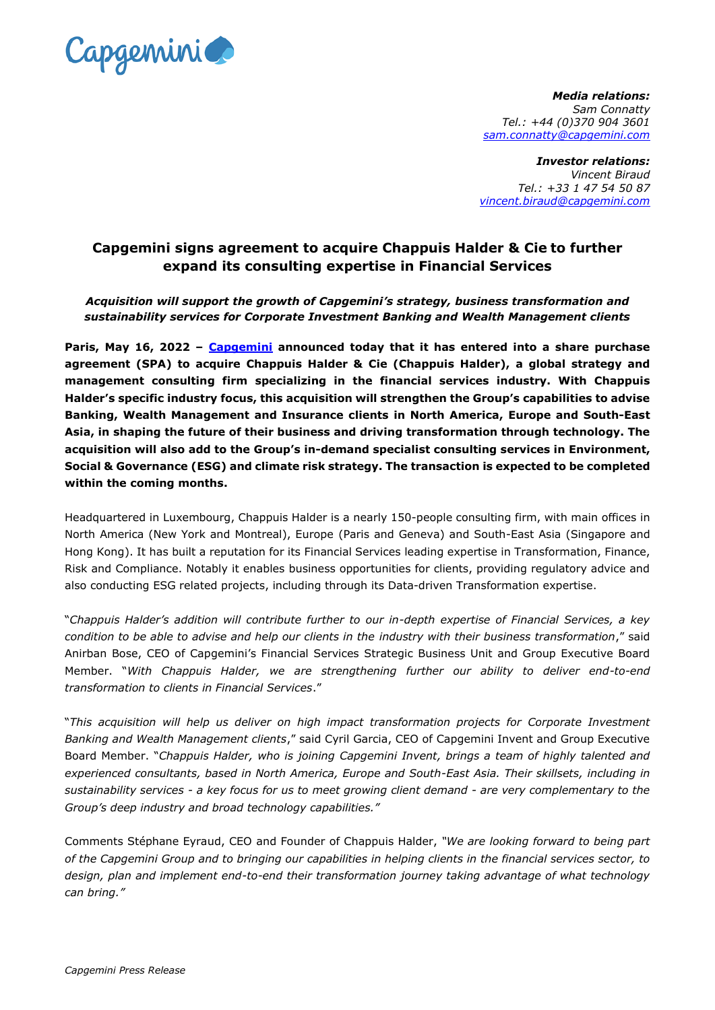

*Media relations: Sam Connatty Tel.: +44 (0)370 904 3601 [sam.connatty@capgemini.com](mailto:sam.connatty@capgemini.com)*

*Investor relations: Vincent Biraud Tel.: +33 1 47 54 50 87 [vincent.biraud@capgemini.com](mailto:vincent.biraud@capgemini.com)*

## **Capgemini signs agreement to acquire Chappuis Halder & Cie to further expand its consulting expertise in Financial Services**

*Acquisition will support the growth of Capgemini's strategy, business transformation and sustainability services for Corporate Investment Banking and Wealth Management clients*

**Paris, May 16, 2022 – [Capgemini](http://www.capgemini.com/) announced today that it has entered into a share purchase agreement (SPA) to acquire Chappuis Halder & Cie (Chappuis Halder), a global strategy and management consulting firm specializing in the financial services industry. With Chappuis Halder's specific industry focus, this acquisition will strengthen the Group's capabilities to advise Banking, Wealth Management and Insurance clients in North America, Europe and South-East Asia, in shaping the future of their business and driving transformation through technology. The acquisition will also add to the Group's in-demand specialist consulting services in Environment, Social & Governance (ESG) and climate risk strategy. The transaction is expected to be completed within the coming months.**

Headquartered in Luxembourg, Chappuis Halder is a nearly 150-people consulting firm, with main offices in North America (New York and Montreal), Europe (Paris and Geneva) and South-East Asia (Singapore and Hong Kong). It has built a reputation for its Financial Services leading expertise in Transformation, Finance, Risk and Compliance. Notably it enables business opportunities for clients, providing regulatory advice and also conducting ESG related projects, including through its Data-driven Transformation expertise.

"*Chappuis Halder's addition will contribute further to our in-depth expertise of Financial Services, a key condition to be able to advise and help our clients in the industry with their business transformation*," said Anirban Bose, CEO of Capgemini's Financial Services Strategic Business Unit and Group Executive Board Member. "*With Chappuis Halder, we are strengthening further our ability to deliver end-to-end transformation to clients in Financial Services*."

"*This acquisition will help us deliver on high impact transformation projects for Corporate Investment Banking and Wealth Management clients*," said Cyril Garcia, CEO of Capgemini Invent and Group Executive Board Member. "*Chappuis Halder, who is joining Capgemini Invent, brings a team of highly talented and experienced consultants, based in North America, Europe and South-East Asia. Their skillsets, including in sustainability services - a key focus for us to meet growing client demand - are very complementary to the Group's deep industry and broad technology capabilities."*

Comments Stéphane Eyraud, CEO and Founder of Chappuis Halder, *"We are looking forward to being part of the Capgemini Group and to bringing our capabilities in helping clients in the financial services sector, to design, plan and implement end-to-end their transformation journey taking advantage of what technology can bring."*